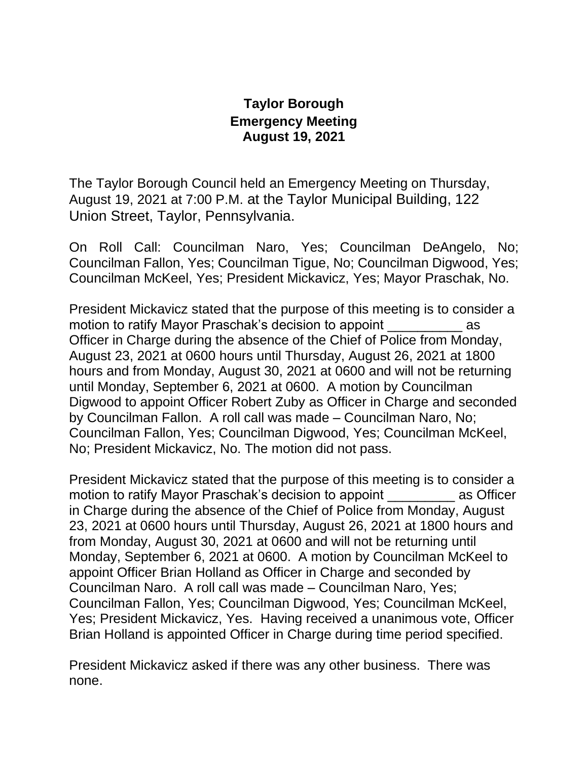## **Taylor Borough Emergency Meeting August 19, 2021**

The Taylor Borough Council held an Emergency Meeting on Thursday, August 19, 2021 at 7:00 P.M. at the Taylor Municipal Building, 122 Union Street, Taylor, Pennsylvania.

On Roll Call: Councilman Naro, Yes; Councilman DeAngelo, No; Councilman Fallon, Yes; Councilman Tigue, No; Councilman Digwood, Yes; Councilman McKeel, Yes; President Mickavicz, Yes; Mayor Praschak, No.

President Mickavicz stated that the purpose of this meeting is to consider a motion to ratify Mayor Praschak's decision to appoint \_\_\_\_\_\_\_\_\_\_ as Officer in Charge during the absence of the Chief of Police from Monday, August 23, 2021 at 0600 hours until Thursday, August 26, 2021 at 1800 hours and from Monday, August 30, 2021 at 0600 and will not be returning until Monday, September 6, 2021 at 0600. A motion by Councilman Digwood to appoint Officer Robert Zuby as Officer in Charge and seconded by Councilman Fallon. A roll call was made – Councilman Naro, No; Councilman Fallon, Yes; Councilman Digwood, Yes; Councilman McKeel, No; President Mickavicz, No. The motion did not pass.

President Mickavicz stated that the purpose of this meeting is to consider a motion to ratify Mayor Praschak's decision to appoint \_\_\_\_\_\_\_\_\_ as Officer in Charge during the absence of the Chief of Police from Monday, August 23, 2021 at 0600 hours until Thursday, August 26, 2021 at 1800 hours and from Monday, August 30, 2021 at 0600 and will not be returning until Monday, September 6, 2021 at 0600. A motion by Councilman McKeel to appoint Officer Brian Holland as Officer in Charge and seconded by Councilman Naro. A roll call was made – Councilman Naro, Yes; Councilman Fallon, Yes; Councilman Digwood, Yes; Councilman McKeel, Yes; President Mickavicz, Yes. Having received a unanimous vote, Officer Brian Holland is appointed Officer in Charge during time period specified.

President Mickavicz asked if there was any other business. There was none.